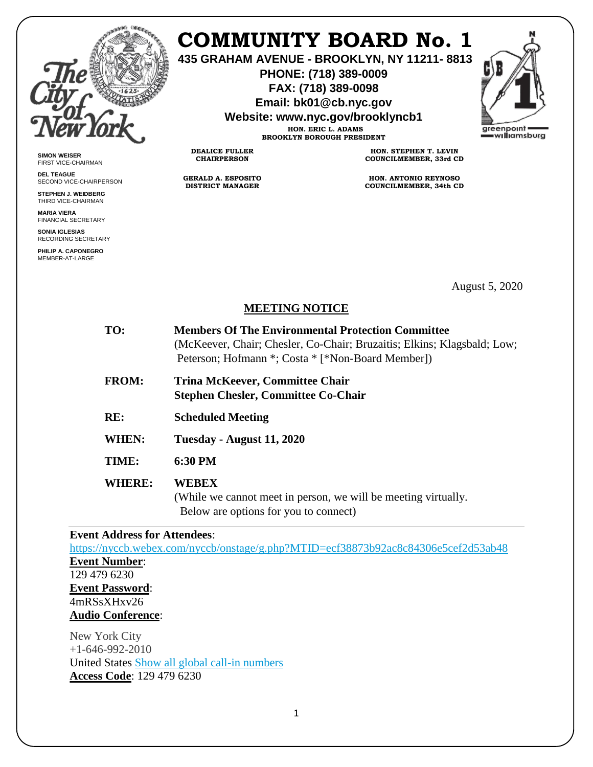

**SIMON WEISER** FIRST VICE-CHAIRMAN **DEL TEAGUE**

SECOND VICE-CHAIRPERSON **STEPHEN J. WEIDBERG** THIRD VICE-CHAIRMAN **MARIA VIERA** FINANCIAL SECRETARY **SONIA IGLESIAS** RECORDING SECRETARY **PHILIP A. CAPONEGRO** MEMBER-AT-LARGE

# **COMMUNITY BOARD No. 1**

**435 GRAHAM AVENUE - BROOKLYN, NY 11211- 8813**

**PHONE: (718) 389-0009 FAX: (718) 389-0098**

**Email: bk01@cb.nyc.gov**

**Website: www.nyc.gov/brooklyncb1**

areenpoint williamsburg

**HON. ERIC L. ADAMS BROOKLYN BOROUGH PRESIDENT**

**DEALICE FULLER CHAIRPERSON**

**GERALD A. ESPOSITO DISTRICT MANAGER**

**HON. STEPHEN T. LEVIN COUNCILMEMBER, 33rd CD**

**HON. ANTONIO REYNOSO COUNCILMEMBER, 34th CD**

August 5, 2020

# **MEETING NOTICE**

| TO:           | <b>Members Of The Environmental Protection Committee</b><br>(McKeever, Chair; Chesler, Co-Chair; Bruzaitis; Elkins; Klagsbald; Low;<br>Peterson; Hofmann *; Costa * [*Non-Board Member]) |
|---------------|------------------------------------------------------------------------------------------------------------------------------------------------------------------------------------------|
| <b>FROM:</b>  | <b>Trina McKeever, Committee Chair</b><br><b>Stephen Chesler, Committee Co-Chair</b>                                                                                                     |
| RE:           | <b>Scheduled Meeting</b>                                                                                                                                                                 |
| WHEN:         | Tuesday - August 11, 2020                                                                                                                                                                |
| TIME:         | 6:30 PM                                                                                                                                                                                  |
| <b>WHERE:</b> | <b>WEBEX</b><br>(While we cannot meet in person, we will be meeting virtually.<br>Below are options for you to connect)                                                                  |

# **Event Address for Attendees**:

<https://nyccb.webex.com/nyccb/onstage/g.php?MTID=ecf38873b92ac8c84306e5cef2d53ab48> **Event Number**: 129 479 6230 **Event Password**: 4mRSsXHxv26 **Audio Conference**:

New York City  $+1-646-992-2010$ United States [Show all global call-in numbers](https://nyccb.webex.com/cmp3300/webcomponents/widget/globalcallin/globalcallin.do?siteurl=nyccb&serviceType=EC&eventID=1072053712&tollFree=0) **Access Code**: 129 479 6230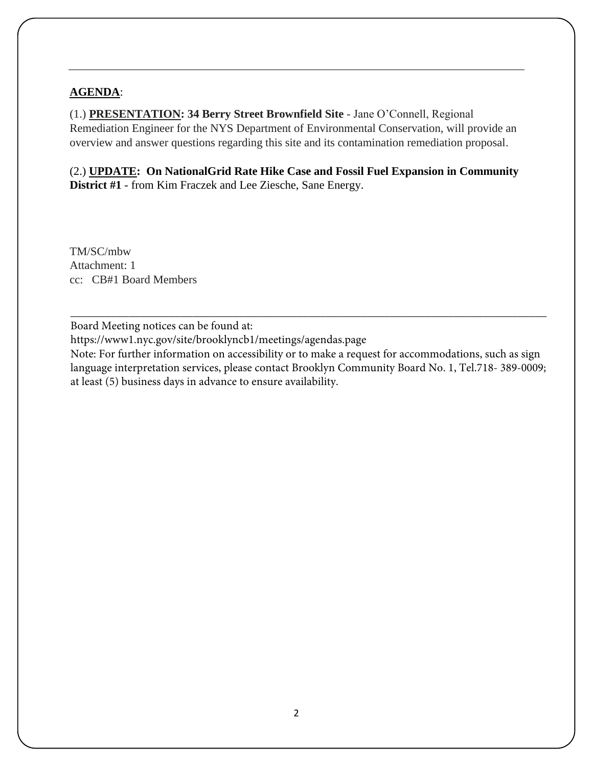## **AGENDA**:

(1.) **PRESENTATION: 34 Berry Street Brownfield Site** - Jane O'Connell, Regional Remediation Engineer for the NYS Department of Environmental Conservation, will provide an overview and answer questions regarding this site and its contamination remediation proposal.

(2.) **UPDATE: On NationalGrid Rate Hike Case and Fossil Fuel Expansion in Community District #1** - from Kim Fraczek and Lee Ziesche, Sane Energy.

TM/SC/mbw Attachment: 1 cc: CB#1 Board Members

Board Meeting notices can be found at:

https://www1.nyc.gov/site/brooklyncb1/meetings/agendas.page

Note: For further information on accessibility or to make a request for accommodations, such as sign language interpretation services, please contact Brooklyn Community Board No. 1, Tel.718- 389-0009; at least (5) business days in advance to ensure availability.

\_\_\_\_\_\_\_\_\_\_\_\_\_\_\_\_\_\_\_\_\_\_\_\_\_\_\_\_\_\_\_\_\_\_\_\_\_\_\_\_\_\_\_\_\_\_\_\_\_\_\_\_\_\_\_\_\_\_\_\_\_\_\_\_\_\_\_\_\_\_\_\_\_\_\_\_\_\_\_\_\_\_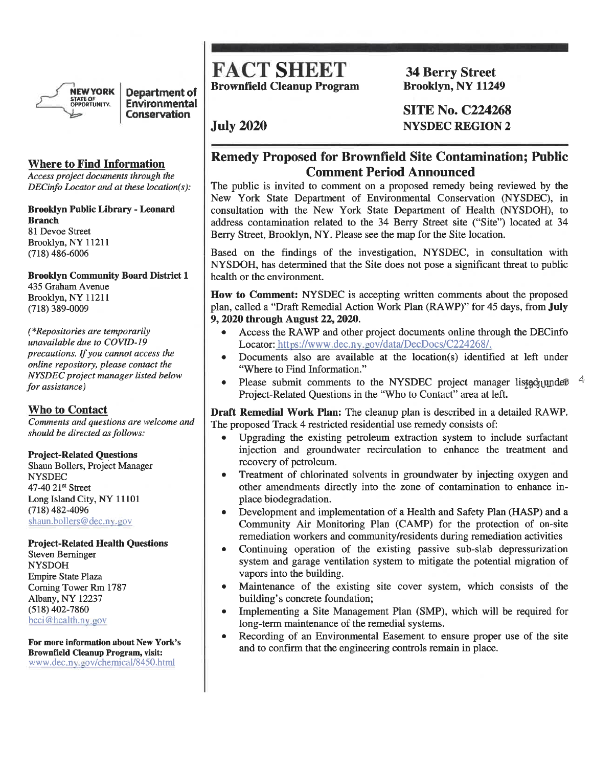

Department of Environmental **Conservation** 

#### **Where to Find Information**

Access project documents through the DECinfo Locator and at these location(s):

#### **Brooklyn Public Library - Leonard Branch**

81 Devoe Street Brooklyn, NY 11211  $(718)$  486-6006

### **Brooklyn Community Board District 1** 435 Graham Avenue

Brooklyn, NY 11211  $(718)$  389-0009

(\*Repositories are temporarily unavailable due to COVID-19 precautions. If you cannot access the online repository, please contact the NYSDEC project manager listed below for assistance)

#### **Who to Contact**

Comments and questions are welcome and should be directed as follows:

#### **Project-Related Questions**

Shaun Bollers, Project Manager **NYSDEC** 47-40 21st Street Long Island City, NY 11101  $(718)$  482-4096 shaun.bollers@dec.ny.gov

#### **Project-Related Health Questions**

**Steven Berninger NYSDOH Empire State Plaza** Corning Tower Rm 1787 Albany, NY 12237  $(518)$  402-7860 beei@health.ny.gov

For more information about New York's **Brownfield Cleanup Program, visit:** www.dec.ny.gov/chemical/8450.html

# **FACT SHEET Brownfield Cleanup Program**

**July 2020** 

**34 Berry Street Brooklyn, NY 11249** 

**SITE No. C224268 NYSDEC REGION 2** 

# **Remedy Proposed for Brownfield Site Contamination; Public Comment Period Announced**

The public is invited to comment on a proposed remedy being reviewed by the New York State Department of Environmental Conservation (NYSDEC), in consultation with the New York State Department of Health (NYSDOH), to address contamination related to the 34 Berry Street site ("Site") located at 34 Berry Street, Brooklyn, NY. Please see the map for the Site location.

Based on the findings of the investigation, NYSDEC, in consultation with NYSDOH, has determined that the Site does not pose a significant threat to public health or the environment.

How to Comment: NYSDEC is accepting written comments about the proposed plan, called a "Draft Remedial Action Work Plan (RAWP)" for 45 days, from July 9, 2020 through August 22, 2020.

- Access the RAWP and other project documents online through the DECinfo Locator: https://www.dec.ny.gov/data/DecDocs/C224268/.
- Documents also are available at the location(s) identified at left under "Where to Find Information."
- Please submit comments to the NYSDEC project manager listed under Project-Related Questions in the "Who to Contact" area at left.

Draft Remedial Work Plan: The cleanup plan is described in a detailed RAWP. The proposed Track 4 restricted residential use remedy consists of:

- Upgrading the existing petroleum extraction system to include surfactant injection and groundwater recirculation to enhance the treatment and recovery of petroleum.
- Treatment of chlorinated solvents in groundwater by injecting oxygen and  $\bullet$ other amendments directly into the zone of contamination to enhance inplace biodegradation.
- Development and implementation of a Health and Safety Plan (HASP) and a Community Air Monitoring Plan (CAMP) for the protection of on-site remediation workers and community/residents during remediation activities
- Continuing operation of the existing passive sub-slab depressurization system and garage ventilation system to mitigate the potential migration of vapors into the building.
- Maintenance of the existing site cover system, which consists of the building's concrete foundation;
- Implementing a Site Management Plan (SMP), which will be required for long-term maintenance of the remedial systems.
- Recording of an Environmental Easement to ensure proper use of the site  $\bullet$ and to confirm that the engineering controls remain in place.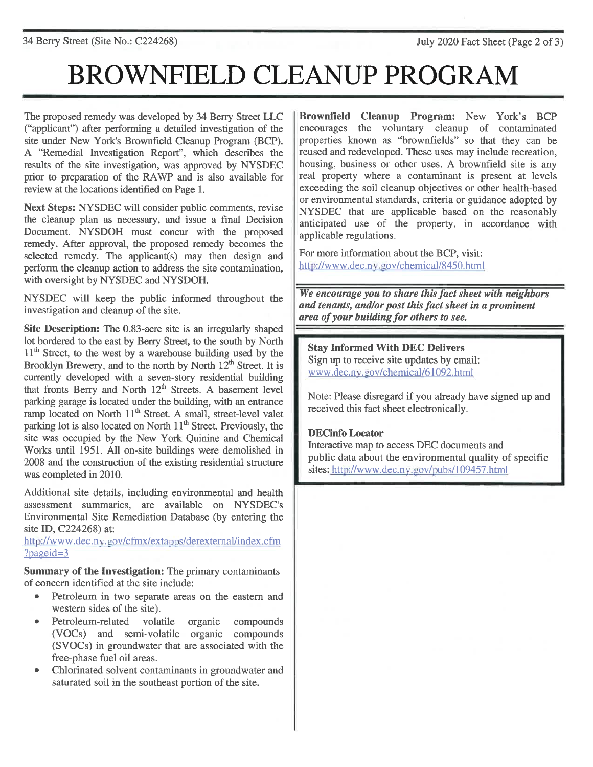# **BROWNFIELD CLEANUP PROGRAM**

The proposed remedy was developed by 34 Berry Street LLC ("applicant") after performing a detailed investigation of the site under New York's Brownfield Cleanup Program (BCP). A "Remedial Investigation Report", which describes the results of the site investigation, was approved by NYSDEC prior to preparation of the RAWP and is also available for review at the locations identified on Page 1.

Next Steps: NYSDEC will consider public comments, revise the cleanup plan as necessary, and issue a final Decision Document. NYSDOH must concur with the proposed remedy. After approval, the proposed remedy becomes the selected remedy. The applicant(s) may then design and perform the cleanup action to address the site contamination, with oversight by NYSDEC and NYSDOH.

NYSDEC will keep the public informed throughout the investigation and cleanup of the site.

Site Description: The 0.83-acre site is an irregularly shaped lot bordered to the east by Berry Street, to the south by North  $11<sup>th</sup>$  Street, to the west by a warehouse building used by the Brooklyn Brewery, and to the north by North  $12^{th}$  Street. It is currently developed with a seven-story residential building that fronts Berry and North 12<sup>th</sup> Streets. A basement level parking garage is located under the building, with an entrance ramp located on North 11<sup>th</sup> Street. A small, street-level valet parking lot is also located on North 11<sup>th</sup> Street. Previously, the site was occupied by the New York Quinine and Chemical Works until 1951. All on-site buildings were demolished in 2008 and the construction of the existing residential structure was completed in 2010.

Additional site details, including environmental and health assessment summaries, are available on NYSDEC's Environmental Site Remediation Database (by entering the site ID, C224268) at:

http://www.dec.nv.gov/cfmx/extapps/derexternal/index.cfm  $?$ pageid=3

**Summary of the Investigation:** The primary contaminants of concern identified at the site include:

- Petroleum in two separate areas on the eastern and western sides of the site).
- Petroleum-related volatile organic compounds (VOCs) and semi-volatile organic compounds (SVOCs) in groundwater that are associated with the free-phase fuel oil areas.
- Chlorinated solvent contaminants in groundwater and saturated soil in the southeast portion of the site.

Brownfield Cleanup Program: New York's BCP encourages the voluntary cleanup of contaminated properties known as "brownfields" so that they can be reused and redeveloped. These uses may include recreation, housing, business or other uses. A brownfield site is any real property where a contaminant is present at levels exceeding the soil cleanup objectives or other health-based or environmental standards, criteria or guidance adopted by NYSDEC that are applicable based on the reasonably anticipated use of the property, in accordance with applicable regulations.

For more information about the BCP, visit: http://www.dec.ny.gov/chemical/8450.html

We encourage you to share this fact sheet with neighbors and tenants, and/or post this fact sheet in a prominent area of your building for others to see.

## **Stay Informed With DEC Delivers**

Sign up to receive site updates by email: www.dec.ny.gov/chemical/61092.html

Note: Please disregard if you already have signed up and received this fact sheet electronically.

#### **DECinfo Locator**

Interactive map to access DEC documents and public data about the environmental quality of specific sites: http://www.dec.ny.gov/pubs/109457.html